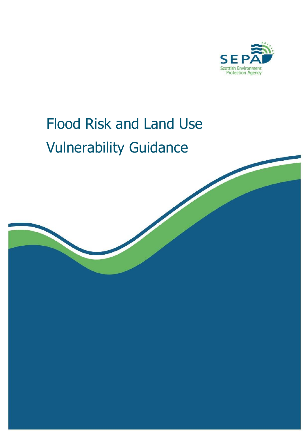

# Flood Risk and Land Use Vulnerability Guidance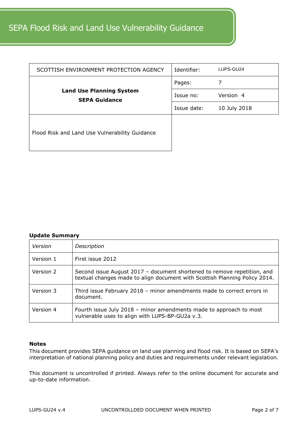## SEPA Flood Risk and Land Use Vulnerability Guidance

| SCOTTISH ENVIRONMENT PROTECTION AGENCY                  | Identifier: | LUPS-GU24    |
|---------------------------------------------------------|-------------|--------------|
|                                                         | Pages:      |              |
| <b>Land Use Planning System</b><br><b>SEPA Guidance</b> | Issue no:   | Version 4    |
|                                                         | Issue date: | 10 July 2018 |
| Flood Risk and Land Use Vulnerability Guidance          |             |              |

#### **Update Summary**

| Version   | Description                                                                                                                                           |
|-----------|-------------------------------------------------------------------------------------------------------------------------------------------------------|
| Version 1 | First issue 2012                                                                                                                                      |
| Version 2 | Second issue August 2017 - document shortened to remove repetition, and<br>textual changes made to align document with Scottish Planning Policy 2014. |
| Version 3 | Third issue February 2018 - minor amendments made to correct errors in<br>document.                                                                   |
| Version 4 | Fourth issue July 2018 - minor amendments made to approach to most<br>vulnerable uses to align with LUPS-BP-GU2a v.3.                                 |

#### **Notes**

This document provides SEPA guidance on land use planning and flood risk. It is based on SEPA's interpretation of national planning policy and duties and requirements under relevant legislation.

This document is uncontrolled if printed. Always refer to the online document for accurate and up-to-date information.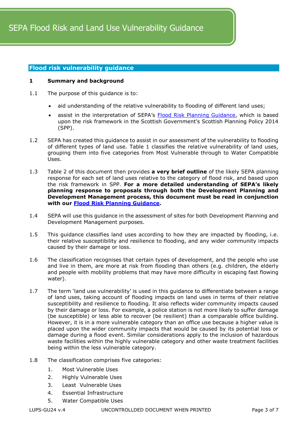#### **Flood risk vulnerability guidance**

#### **1 Summary and background**

- 1.1 The purpose of this guidance is to:
	- aid understanding of the relative vulnerability to flooding of different land uses;
	- assist in the interpretation of SEPA's [Flood Risk Planning Guidance,](https://www.sepa.org.uk/media/162837/lups-bp-gu2a-land-use-planning-background-paper-on-flood-risk.pdf) which is based upon the risk framework in the Scottish Government's Scottish Planning Policy 2014 (SPP).
- 1.2 SEPA has created this guidance to assist in our assessment of the vulnerability to flooding of different types of land use. Table 1 classifies the relative vulnerability of land uses, grouping them into five categories from Most Vulnerable through to Water Compatible Uses.
- 1.3 Table 2 of this document then provides **a very brief outline** of the likely SEPA planning response for each set of land uses relative to the category of flood risk, and based upon the risk framework in SPP. **For a more detailed understanding of SEPA's likely planning response to proposals through both the Development Planning and Development Management process, this document must be read in conjunction with our [Flood Risk Planning Guidance.](https://www.sepa.org.uk/media/162837/lups-bp-gu2a-land-use-planning-background-paper-on-flood-risk.pdf)**
- 1.4 SEPA will use this guidance in the assessment of sites for both Development Planning and Development Management purposes.
- 1.5 This guidance classifies land uses according to how they are impacted by flooding, i.e. their relative susceptibility and resilience to flooding, and any wider community impacts caused by their damage or loss.
- 1.6 The classification recognises that certain types of development, and the people who use and live in them, are more at risk from flooding than others (e.g. children, the elderly and people with mobility problems that may have more difficulty in escaping fast flowing water).
- 1.7 The term 'land use vulnerability' is used in this guidance to differentiate between a range of land uses, taking account of flooding impacts on land uses in terms of their relative susceptibility and resilience to flooding. It also reflects wider community impacts caused by their damage or loss. For example, a police station is not more likely to suffer damage (be susceptible) or less able to recover (be resilient) than a comparable office building. However, it is in a more vulnerable category than an office use because a higher value is placed upon the wider community impacts that would be caused by its potential loss or damage during a flood event. Similar considerations apply to the inclusion of hazardous waste facilities within the highly vulnerable category and other waste treatment facilities being within the less vulnerable category.
- 1.8 The classification comprises five categories:
	- 1. Most Vulnerable Uses
	- 2. Highly Vulnerable Uses
	- 3. Least Vulnerable Uses
	- 4. Essential Infrastructure
	- 5. Water Compatible Uses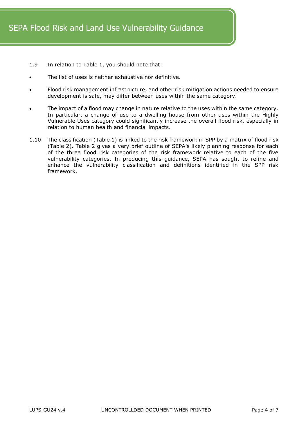- 1.9 In relation to Table 1, you should note that:
- The list of uses is neither exhaustive nor definitive.
- Flood risk management infrastructure, and other risk mitigation actions needed to ensure development is safe, may differ between uses within the same category.
- The impact of a flood may change in nature relative to the uses within the same category. In particular, a change of use to a dwelling house from other uses within the Highly Vulnerable Uses category could significantly increase the overall flood risk, especially in relation to human health and financial impacts.
- 1.10 The classification (Table 1) is linked to the risk framework in SPP by a matrix of flood risk (Table 2). Table 2 gives a very brief outline of SEPA's likely planning response for each of the three flood risk categories of the risk framework relative to each of the five vulnerability categories. In producing this guidance, SEPA has sought to refine and enhance the vulnerability classification and definitions identified in the SPP risk framework.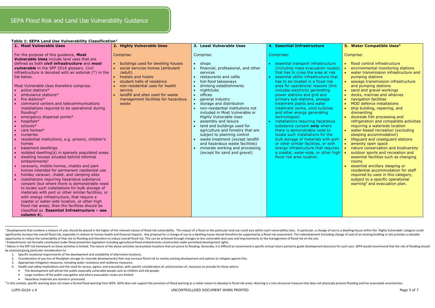| apic 1. JEI A Eana OSC Vanicraphity Classification<br>1. Most Vulnerable Uses                                                                                                                                                                                                                                                                                                                                                                                                                                                                                                                                                                                                                                                                                                                                                                                                                                                                                                                                                                                                                                                                                                                                                                                                                                                                                                | 2. Highly Vulnerable Uses                                                                                                                                                                                                                                                                | 3. Least Vulnerable Uses                                                                                                                                                                                                                                                                                                                                                                                                                                                                                                                                                                                                   | 4. Essential Infrastructure                                                                                                                                                                                                                                                                                                                                                                                                                                                                                                                                                                                                                                                                                                                                                                              | 5. Water Compatible Uses <sup>3</sup>                                                                                                                                                                                                                                                                                                                                                                                                                                                                                                                                                                                                                                                                                                                                                                                                                                                                                                                                                      |
|------------------------------------------------------------------------------------------------------------------------------------------------------------------------------------------------------------------------------------------------------------------------------------------------------------------------------------------------------------------------------------------------------------------------------------------------------------------------------------------------------------------------------------------------------------------------------------------------------------------------------------------------------------------------------------------------------------------------------------------------------------------------------------------------------------------------------------------------------------------------------------------------------------------------------------------------------------------------------------------------------------------------------------------------------------------------------------------------------------------------------------------------------------------------------------------------------------------------------------------------------------------------------------------------------------------------------------------------------------------------------|------------------------------------------------------------------------------------------------------------------------------------------------------------------------------------------------------------------------------------------------------------------------------------------|----------------------------------------------------------------------------------------------------------------------------------------------------------------------------------------------------------------------------------------------------------------------------------------------------------------------------------------------------------------------------------------------------------------------------------------------------------------------------------------------------------------------------------------------------------------------------------------------------------------------------|----------------------------------------------------------------------------------------------------------------------------------------------------------------------------------------------------------------------------------------------------------------------------------------------------------------------------------------------------------------------------------------------------------------------------------------------------------------------------------------------------------------------------------------------------------------------------------------------------------------------------------------------------------------------------------------------------------------------------------------------------------------------------------------------------------|--------------------------------------------------------------------------------------------------------------------------------------------------------------------------------------------------------------------------------------------------------------------------------------------------------------------------------------------------------------------------------------------------------------------------------------------------------------------------------------------------------------------------------------------------------------------------------------------------------------------------------------------------------------------------------------------------------------------------------------------------------------------------------------------------------------------------------------------------------------------------------------------------------------------------------------------------------------------------------------------|
| For the purpose of this guidance, Most<br>Vulnerable Uses include land uses that are<br>defined as both <i>civil infrastructure</i> and <i>most</i><br>vulnerable in the SPP 2014 glossary. Civil<br>infrastructure is denoted with an asterisk $(*)$ in the<br>list below.<br>Most Vulnerable Uses therefore comprise:<br>police stations*<br>ambulance stations*<br>fire stations*<br>command centers and telecommunications<br>installations required to be operational during<br>flooding*<br>emergency dispersal points*<br>hospitals*<br>schools*<br>care homes*<br>nurseries<br>residential institutions, e.g. prisons, children's<br>homes<br>basement dwellings<br>isolated dwelling(s) in sparsely populated areas<br>dwelling houses situated behind informal<br>embankments <sup>2</sup><br>caravans, mobile homes, chalets and park<br>homes intended for permanent residential use<br>holiday caravan, chalet, and camping sites<br>installations requiring hazardous substance<br>consent (but where there is demonstrable need<br>to locate such installations for bulk storage of<br>materials with port or other similar facilities, or<br>with energy infrastructure, that require a<br>coastal or water-side location, or other high<br>flood risk areas, then the facilities should be<br>classified as Essential Infrastructure - see<br>column $4$ ). | Comprise:<br>• buildings used for dwelling houses<br>• social services homes (ambulant<br>/adult)<br>hostels and hotels<br>student halls of residence<br>non-residential uses for health<br>service<br>landfill and sites used for waste<br>management facilities for hazardous<br>waste | Comprise:<br>$\bullet$ shops<br>financial, professional, and other<br>services<br>restaurants and cafés<br>hot-food takeaways<br>drinking establishments<br>nightclubs<br>offices<br>$\bullet$<br>general industry<br>storage and distribution<br>non-residential institutions not<br>included in Most Vulnerable or<br><b>Highly Vulnerable Uses</b><br>assembly and leisure<br>land and buildings used for<br>agriculture and forestry that are<br>subject to planning control<br>waste treatment (except landfill<br>and hazardous waste facilities)<br>minerals working and processing<br>(except for sand and gravel) | Comprises:<br>essential transport infrastructure<br>(including mass evacuation routes)<br>that has to cross the area at risk<br>essential utility infrastructure that<br>has to be located in a flood risk<br>area for operational reasons (this<br>includes electricity generating<br>power stations and grid and<br>primary sub-stations, sewage<br>treatment plants and water<br>treatment works, wind turbines<br>and other energy generating<br>technologies)<br>installations requiring hazardous<br>substance consent only where<br>there is demonstrable need to<br>locate such installations for the<br>bulk storage of materials with port<br>or other similar facilities, or with<br>energy infrastructure that requires<br>a coastal, water-side, or other high<br>flood risk area location. | Comprise:<br>• flood control infrastructure<br>environmental monitoring stations<br>• water transmission infrastructure and<br>pumping stations<br>• sewage transmission infrastructure<br>and pumping stations<br>• sand and gravel workings<br>docks, marinas and wharves<br>• navigation facilities<br>• MOD defence installations<br>• ship building, repairing, and<br>dismantling<br>• dockside fish processing and<br>refrigeration and compatible activities<br>requiring a waterside location<br>• water-based recreation (excluding<br>sleeping accommodation)<br>lifeguard and coastguard stations<br>• amenity open space<br>nature conservation and biodiversity<br>outdoor sports and recreation and<br>$\bullet$<br>essential facilities such as changing<br><b>rooms</b><br>essential ancillary sleeping or<br>residential accommodation for staff<br>required by uses in this category,<br>subject to a specific operational<br>warning <sup>4</sup> and evacuation plan. |

<sup>&</sup>lt;sup>1</sup> Developments that combine a mixture of uses should be placed in the higher of the relevant classes of flood risk vulnerability. The impact of a flood on the particular land use could vary within each vulnerability clas significantly increase the overall flood risk, especially in relation to human health and financial impacts. Any proposal for a change of use to a dwelling house should therefore be supported by a flood risk assessment. Th opportunity to reduce the vulnerability of that site to flooding and therefore to reduce overall flood risk. This can be achieved through changes to less vulnerable land uses and improvements to the management of flood ris <sup>2</sup> Embankments not formally constituted under flood prevention legislation including agricultural flood embankments constructed under permitted development rights.

#### **Table 1: SEPA Land Use Vulnerability Classification<sup>1</sup>**

 $\overline{a}$ 

<sup>&</sup>lt;sup>3</sup> Advice in the SPP risk framework on these activities is limited. The nature of the above activities mecessitates locations that are prone to flooding. Generally, it is difficult to recommend a specific annual return pe be assessed giving particular consideration to:

<sup>1.</sup> Specific locational requirements of the development and availability of alternative locations;

<sup>2.</sup> Consideration of any loss of floodplain storage (in riverside developments) that may increase flood risk to nearby existing development and options to mitigate against this;

<sup>3.</sup> Appropriate mitigation measures, including water resistance and resilience measures;

<sup>4.</sup> Health and safety implications and the need for access, egress, and evacuation, with specific consideration of, and provision of, measures to provide for these where:

The development will attract the public especially vulnerable people such as children and old people.

Large numbers of the public may gather and where evacuation routes are limited.

Hazardous materials are stored or processed.

<sup>4</sup> In this context, specific warning does not mean a formal flood warning from SEPA. SEPA does not support the provision of flood warning as a viable reason to develop in flood risk areas. Warning is a non-structural measur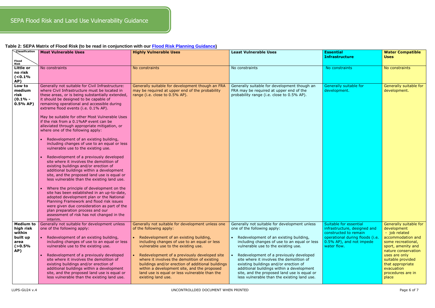### **Table 2: SEPA Matrix of Flood Risk (to be read in conjunction with our [Flood Risk Planning Guidance\)](https://www.sepa.org.uk/media/162837/lups-bp-gu2a-land-use-planning-background-paper-on-flood-risk.pdf)**

| Classification                                                                      | <b>Most Vulnerable Uses</b>                                                                                                                                                                                                                                                                                                                                                                                                                                                                                                                                                                                                                                                                                                                                                                                                                                                                                                                                                                                                                                                                                                                                                                              | <b>Highly Vulnerable Uses</b>                                                                                                                                                                                                                                                                                                                                                                                                                                                            | <b>Least Vulnerable Uses</b>                                                                                                                                                                                                                                                                                                                                                                                                                                                             | <b>Essential</b>                                                                                                                                              | <b>Water Compatible</b>                                                                                                                                                                                                                              |
|-------------------------------------------------------------------------------------|----------------------------------------------------------------------------------------------------------------------------------------------------------------------------------------------------------------------------------------------------------------------------------------------------------------------------------------------------------------------------------------------------------------------------------------------------------------------------------------------------------------------------------------------------------------------------------------------------------------------------------------------------------------------------------------------------------------------------------------------------------------------------------------------------------------------------------------------------------------------------------------------------------------------------------------------------------------------------------------------------------------------------------------------------------------------------------------------------------------------------------------------------------------------------------------------------------|------------------------------------------------------------------------------------------------------------------------------------------------------------------------------------------------------------------------------------------------------------------------------------------------------------------------------------------------------------------------------------------------------------------------------------------------------------------------------------------|------------------------------------------------------------------------------------------------------------------------------------------------------------------------------------------------------------------------------------------------------------------------------------------------------------------------------------------------------------------------------------------------------------------------------------------------------------------------------------------|---------------------------------------------------------------------------------------------------------------------------------------------------------------|------------------------------------------------------------------------------------------------------------------------------------------------------------------------------------------------------------------------------------------------------|
| Flood<br><b>Risk</b>                                                                |                                                                                                                                                                                                                                                                                                                                                                                                                                                                                                                                                                                                                                                                                                                                                                                                                                                                                                                                                                                                                                                                                                                                                                                                          |                                                                                                                                                                                                                                                                                                                                                                                                                                                                                          |                                                                                                                                                                                                                                                                                                                                                                                                                                                                                          | <b>Infrastructure</b>                                                                                                                                         | <b>Uses</b>                                                                                                                                                                                                                                          |
| Little or<br>no risk<br>( <b>0.1%</b><br>AP)                                        | No constraints                                                                                                                                                                                                                                                                                                                                                                                                                                                                                                                                                                                                                                                                                                                                                                                                                                                                                                                                                                                                                                                                                                                                                                                           | No constraints                                                                                                                                                                                                                                                                                                                                                                                                                                                                           | No constraints                                                                                                                                                                                                                                                                                                                                                                                                                                                                           | No constraints                                                                                                                                                | No constraints                                                                                                                                                                                                                                       |
| Low to<br>medium<br>risk<br>$(0.1% -$<br>0.5% AP                                    | Generally not suitable for Civil Infrastructure:<br>where Civil Infrastructure must be located in<br>these areas, or is being substantially extended,<br>it should be designed to be capable of<br>remaining operational and accessible during<br>extreme flood events (i.e. 0.1% AP).<br>May be suitable for other Most Vulnerable Uses<br>if the risk from a 0.1%AP event can be<br>alleviated through appropriate mitigation, or<br>where one of the following apply:<br>Redevelopment of an existing building,<br>including changes of use to an equal or less<br>vulnerable use to the existing use.<br>Redevelopment of a previously developed<br>site where it involves the demolition of<br>existing buildings and/or erection of<br>additional buildings within a development<br>site, and the proposed land use is equal or<br>less vulnerable than the existing land use.<br>Where the principle of development on the<br>site has been established in an up-to-date,<br>adopted development plan or the National<br>Planning Framework and flood risk issues<br>were given due consideration as part of the<br>plan preparation process and our<br>assessment of risk has not changed in the | Generally suitable for development though an FRA<br>may be required at upper end of the probability<br>range (i.e. close to 0.5% AP).                                                                                                                                                                                                                                                                                                                                                    | Generally suitable for development though an<br>FRA may be required at upper end of the<br>probability range (i.e. close to 0.5% AP).                                                                                                                                                                                                                                                                                                                                                    | Generally suitable for<br>development.                                                                                                                        | Generally suitable for<br>development.                                                                                                                                                                                                               |
| <b>Medium to</b><br>high risk<br>within<br>built up<br>area<br>$( > 0.5\% )$<br>AP) | interim.<br>Generally not suitable for development unless<br>one of the following apply:<br>Redevelopment of an existing building,<br>including changes of use to an equal or less<br>vulnerable use to the existing use.<br>Redevelopment of a previously developed<br>site where it involves the demolition of<br>existing buildings and/or erection of<br>additional buildings within a development<br>site, and the proposed land use is equal or<br>less vulnerable than the existing land use.                                                                                                                                                                                                                                                                                                                                                                                                                                                                                                                                                                                                                                                                                                     | Generally not suitable for development unless one<br>of the following apply:<br>Redevelopment of an existing building,<br>including changes of use to an equal or less<br>vulnerable use to the existing use.<br>Redevelopment of a previously developed site<br>where it involves the demolition of existing<br>buildings and/or erection of additional buildings<br>within a development site, and the proposed<br>land use is equal or less vulnerable than the<br>existing land use. | Generally not suitable for development unless<br>one of the following apply:<br>Redevelopment of an existing building,<br>including changes of use to an equal or less<br>vulnerable use to the existing use.<br>Redevelopment of a previously developed<br>site where it involves the demolition of<br>existing buildings and/or erection of<br>additional buildings within a development<br>site, and the proposed land use is equal or<br>less vulnerable than the existing land use. | Suitable for essential<br>infrastructure, designed and<br>constructed to remain<br>operational during floods (i.e.<br>0.5% AP), and not impede<br>water flow. | Generally suitable for<br>development<br>- job related<br>accommodation and<br>some recreational,<br>sport, amenity and<br>nature conservation<br>uses are only<br>suitable provided<br>that appropriate<br>evacuation<br>procedures are in<br>place |